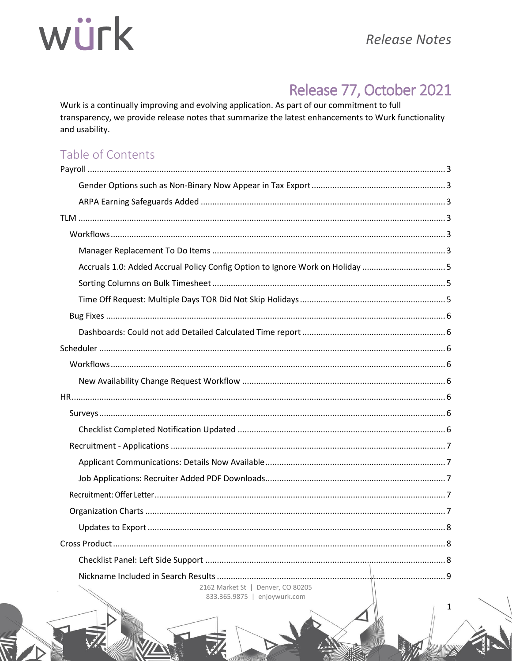## Release 77, October 2021

Wurk is a continually improving and evolving application. As part of our commitment to full transparency, we provide release notes that summarize the latest enhancements to Wurk functionality and usability.

## Table of Contents

| Accruals 1.0: Added Accrual Policy Config Option to Ignore Work on Holiday 5 |  |
|------------------------------------------------------------------------------|--|
|                                                                              |  |
|                                                                              |  |
|                                                                              |  |
|                                                                              |  |
|                                                                              |  |
|                                                                              |  |
|                                                                              |  |
|                                                                              |  |
|                                                                              |  |
|                                                                              |  |
|                                                                              |  |
|                                                                              |  |
|                                                                              |  |
|                                                                              |  |
|                                                                              |  |
|                                                                              |  |
|                                                                              |  |
|                                                                              |  |
|                                                                              |  |
| 2162 Market St   Denver, CO 80205<br>833.365.9875   enjoywurk.com            |  |

 $\mathbf{1}$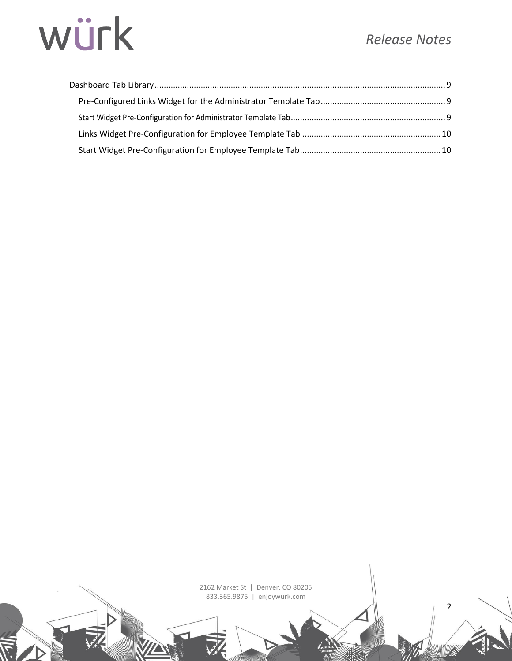## *Release Notes*

2

# würk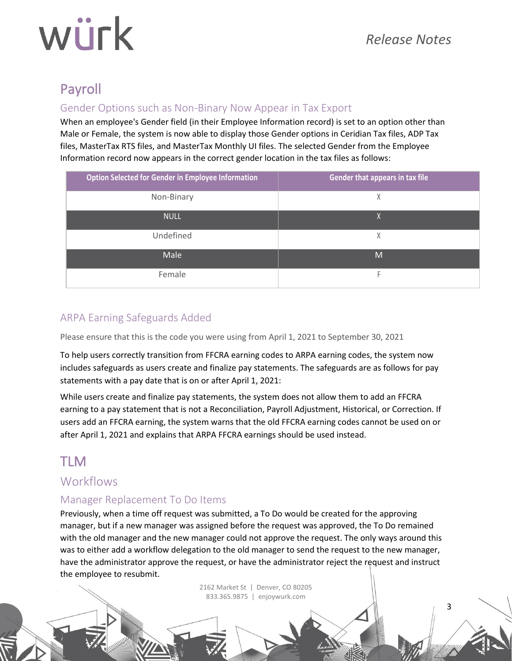# würk

## Payroll

### Gender Options such as Non-Binary Now Appear in Tax Export

When an employee's Gender field (in their Employee Information record) is set to an option other than Male or Female, the system is now able to display those Gender options in Ceridian Tax files, ADP Tax files, MasterTax RTS files, and MasterTax Monthly UI files. The selected Gender from the Employee Information record now appears in the correct gender location in the tax files as follows:

| <b>Option Selected for Gender in Employee Information</b> | Gender that appears in tax file |
|-----------------------------------------------------------|---------------------------------|
| Non-Binary                                                | Χ                               |
| <b>NULL</b>                                               | X                               |
| Undefined                                                 | χ                               |
| Male                                                      | M                               |
| Female                                                    |                                 |

## ARPA Earning Safeguards Added

Please ensure that this is the code you were using from April 1, 2021 to September 30, 2021

To help users correctly transition from FFCRA earning codes to ARPA earning codes, the system now includes safeguards as users create and finalize pay statements. The safeguards are as follows for pay statements with a pay date that is on or after April 1, 2021:

While users create and finalize pay statements, the system does not allow them to add an FFCRA earning to a pay statement that is not a Reconciliation, Payroll Adjustment, Historical, or Correction. If users add an FFCRA earning, the system warns that the old FFCRA earning codes cannot be used on or after April 1, 2021 and explains that ARPA FFCRA earnings should be used instead.

## TLM

## **Workflows**

### Manager Replacement To Do Items

Previously, when a time off request was submitted, a To Do would be created for the approving manager, but if a new manager was assigned before the request was approved, the To Do remained with the old manager and the new manager could not approve the request. The only ways around this was to either add a workflow delegation to the old manager to send the request to the new manager, have the administrator approve the request, or have the administrator reject the request and instruct the employee to resubmit.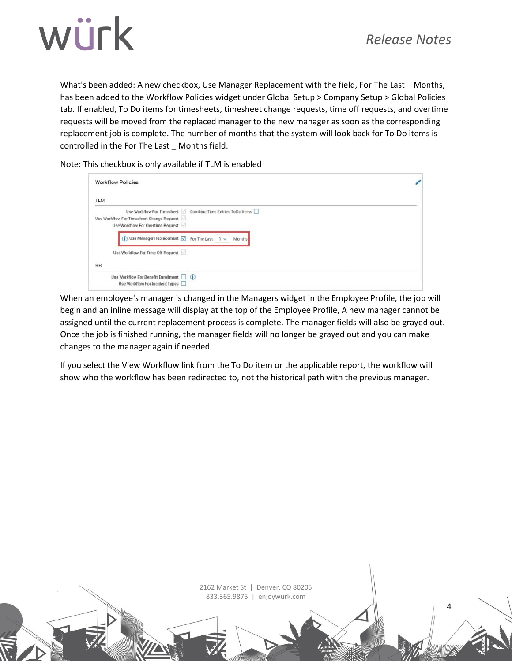



What's been added: A new checkbox, Use Manager Replacement with the field, For The Last \_ Months, has been added to the Workflow Policies widget under Global Setup > Company Setup > Global Policies tab. If enabled, To Do items for timesheets, timesheet change requests, time off requests, and overtime requests will be moved from the replaced manager to the new manager as soon as the corresponding replacement job is complete. The number of months that the system will look back for To Do items is controlled in the For The Last \_ Months field.

Note: This checkbox is only available if TLM is enabled

| <b>Workflow Policies</b>                                                              |  |
|---------------------------------------------------------------------------------------|--|
| <b>TLM</b>                                                                            |  |
| Use Workflow For Timesheet   Combine Time Entries ToDo Items                          |  |
| Use Workflow For Timesheet Change Request<br>Use Workflow For Overtime Request        |  |
| $(i)$ Use Manager Replacement $\boxed{\smile}$ For The Last $\boxed{1 \smile}$ Months |  |
| Use Workflow For Time Off Request                                                     |  |
| HR                                                                                    |  |
| Use Workflow For Benefit Enrollment (i)<br>Use Workflow For Incident Types            |  |

When an employee's manager is changed in the Managers widget in the Employee Profile, the job will begin and an inline message will display at the top of the Employee Profile, A new manager cannot be assigned until the current replacement process is complete. The manager fields will also be grayed out. Once the job is finished running, the manager fields will no longer be grayed out and you can make changes to the manager again if needed.

If you select the View Workflow link from the To Do item or the applicable report, the workflow will show who the workflow has been redirected to, not the historical path with the previous manager.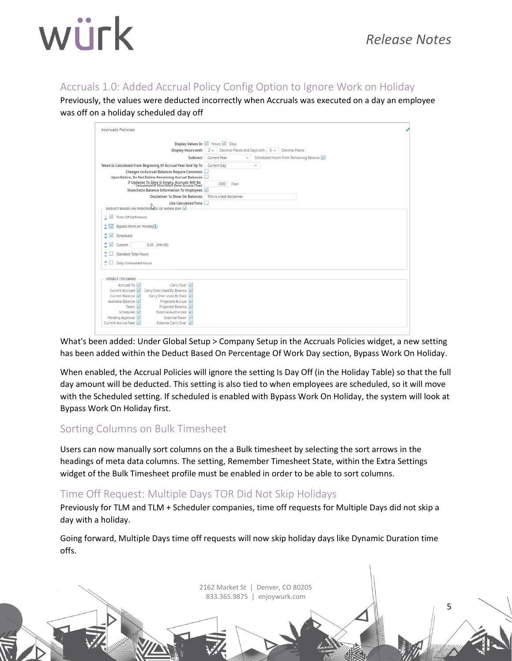5

#### Accruals 1.0: Added Accrual Policy Config Option to Ignore Work on Holiday

Previously, the values were deducted incorrectly when Accruals was executed on a day an employee was off on a holiday scheduled day off

| <b>Accruals Policies</b>     |                                                                                             |                                                                                  |  |
|------------------------------|---------------------------------------------------------------------------------------------|----------------------------------------------------------------------------------|--|
|                              |                                                                                             | Display Values In 2 Hours 2 Days                                                 |  |
|                              |                                                                                             | Display Hours with $2 \vee$ Decimal Places and Days with $5 \vee$ Decimal Places |  |
|                              | Subtract                                                                                    | Current Year<br>Scheduled Hours From Remaining Balance<br>ŵ.                     |  |
|                              | Taken Is Calculated From Beginning Of Accrual Year And Up To                                | Current Day<br>$\omega$                                                          |  |
|                              | Changes to Accrual Balances Require Comment                                                 |                                                                                  |  |
|                              | Upon Rehire, Do Not Delete Remaining Accrual Balances                                       |                                                                                  |  |
|                              | If Updated To Date Is Empty, Accruals Will Be<br>Calculated If Hire/Start Date Is Less Than | 2000 Days                                                                        |  |
|                              | Show Extra Balance Information To Employees                                                 |                                                                                  |  |
|                              | Disclaimer To Show On Balances                                                              | This is a test disclaimer                                                        |  |
|                              | Use Calculated Time<br>DEDUCT BASED ON PERCENTAGE OF WORK DAY                               |                                                                                  |  |
| Time Off Definitions         |                                                                                             |                                                                                  |  |
| Bypass Work on Holiday<br>≎⊠ |                                                                                             |                                                                                  |  |
| $\sim$ $\sim$<br>Scheduled   |                                                                                             |                                                                                  |  |
| $\sim$<br>Custom             | 0.00 (HH.00)                                                                                |                                                                                  |  |
| Standard Total Hours         |                                                                                             |                                                                                  |  |
| Daily Contracted Hours       |                                                                                             |                                                                                  |  |
| VISIBLE COLUMNS              |                                                                                             |                                                                                  |  |
| Accrued To                   | Carry Over                                                                                  |                                                                                  |  |
|                              | Current Accrued Carry Over Used By Balance                                                  |                                                                                  |  |
| Current Balance              | Carry Over Used By Date                                                                     |                                                                                  |  |
| Available Balance            | Projected Accrual                                                                           |                                                                                  |  |
| Taken V                      | Projected Balance                                                                           |                                                                                  |  |
| Scheduled V                  | External Authorized                                                                         |                                                                                  |  |
| Pending Approval             | External Taken                                                                              |                                                                                  |  |
| Current Accrue Rate          | External Carry Over                                                                         |                                                                                  |  |

What's been added: Under Global Setup > Company Setup in the Accruals Policies widget, a new setting has been added within the Deduct Based On Percentage Of Work Day section, Bypass Work On Holiday.

When enabled, the Accrual Policies will ignore the setting Is Day Off (in the Holiday Table) so that the full day amount will be deducted. This setting is also tied to when employees are scheduled, so it will move with the Scheduled setting. If scheduled is enabled with Bypass Work On Holiday, the system will look at Bypass Work On Holiday first.

#### Sorting Columns on Bulk Timesheet

Users can now manually sort columns on the a Bulk timesheet by selecting the sort arrows in the headings of meta data columns. The setting, Remember Timesheet State, within the Extra Settings widget of the Bulk Timesheet profile must be enabled in order to be able to sort columns.

### Time Off Request: Multiple Days TOR Did Not Skip Holidays

Previously for TLM and TLM + Scheduler companies, time off requests for Multiple Days did not skip a day with a holiday.

Going forward, Multiple Days time off requests will now skip holiday days like Dynamic Duration time offs.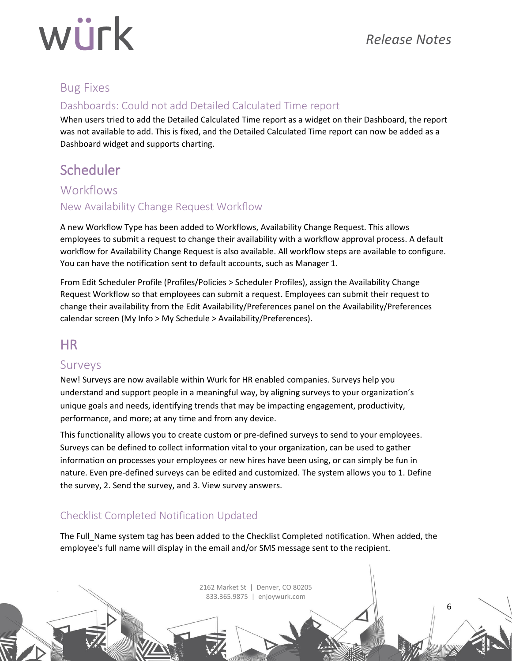# würk

## Bug Fixes

### Dashboards: Could not add Detailed Calculated Time report

When users tried to add the Detailed Calculated Time report as a widget on their Dashboard, the report was not available to add. This is fixed, and the Detailed Calculated Time report can now be added as a Dashboard widget and supports charting.

## Scheduler

### **Workflows**

### New Availability Change Request Workflow

A new Workflow Type has been added to Workflows, Availability Change Request. This allows employees to submit a request to change their availability with a workflow approval process. A default workflow for Availability Change Request is also available. All workflow steps are available to configure. You can have the notification sent to default accounts, such as Manager 1.

From Edit Scheduler Profile (Profiles/Policies > Scheduler Profiles), assign the Availability Change Request Workflow so that employees can submit a request. Employees can submit their request to change their availability from the Edit Availability/Preferences panel on the Availability/Preferences calendar screen (My Info > My Schedule > Availability/Preferences).

## HR

### Surveys

New! Surveys are now available within Wurk for HR enabled companies. Surveys help you understand and support people in a meaningful way, by aligning surveys to your organization's unique goals and needs, identifying trends that may be impacting engagement, productivity, performance, and more; at any time and from any device.

This functionality allows you to create custom or pre-defined surveys to send to your employees. Surveys can be defined to collect information vital to your organization, can be used to gather information on processes your employees or new hires have been using, or can simply be fun in nature. Even pre-defined surveys can be edited and customized. The system allows you to 1. Define the survey, 2. Send the survey, and 3. View survey answers.

## Checklist Completed Notification Updated

The Full Name system tag has been added to the Checklist Completed notification. When added, the employee's full name will display in the email and/or SMS message sent to the recipient.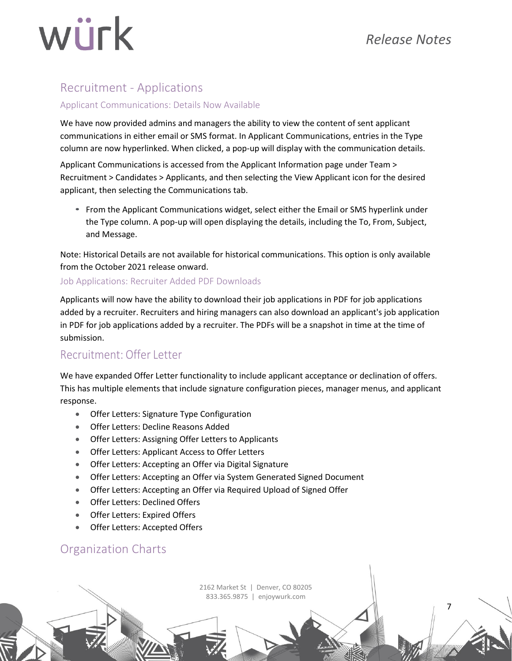# würk

## Recruitment - Applications

#### Applicant Communications: Details Now Available

We have now provided admins and managers the ability to view the content of sent applicant communications in either email or SMS format. In Applicant Communications, entries in the Type column are now hyperlinked. When clicked, a pop-up will display with the communication details.

Applicant Communications is accessed from the Applicant Information page under Team > Recruitment > Candidates > Applicants, and then selecting the View Applicant icon for the desired applicant, then selecting the Communications tab.

• From the Applicant Communications widget, select either the Email or SMS hyperlink under the Type column. A pop-up will open displaying the details, including the To, From, Subject, and Message.

Note: Historical Details are not available for historical communications. This option is only available from the October 2021 release onward.

#### Job Applications: Recruiter Added PDF Downloads

Applicants will now have the ability to download their job applications in PDF for job applications added by a recruiter. Recruiters and hiring managers can also download an applicant's job application in PDF for job applications added by a recruiter. The PDFs will be a snapshot in time at the time of submission.

### Recruitment: Offer Letter

We have expanded Offer Letter functionality to include applicant acceptance or declination of offers. This has multiple elements that include signature configuration pieces, manager menus, and applicant response.

- Offer Letters: Signature Type Configuration
- Offer Letters: Decline Reasons Added
- Offer Letters: Assigning Offer Letters to Applicants
- Offer Letters: Applicant Access to Offer Letters
- Offer Letters: Accepting an Offer via Digital Signature
- Offer Letters: Accepting an Offer via System Generated Signed Document
- Offer Letters: Accepting an Offer via Required Upload of Signed Offer
- Offer Letters: Declined Offers
- Offer Letters: Expired Offers
- Offer Letters: Accepted Offers

## Organization Charts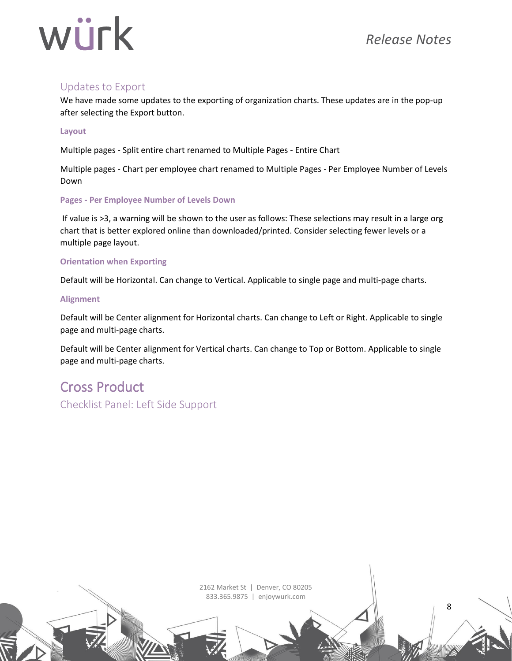## *Release Notes*

8

# würk

#### Updates to Export

We have made some updates to the exporting of organization charts. These updates are in the pop-up after selecting the Export button.

#### **Layout**

Multiple pages - Split entire chart renamed to Multiple Pages - Entire Chart

Multiple pages - Chart per employee chart renamed to Multiple Pages - Per Employee Number of Levels Down

#### **Pages - Per Employee Number of Levels Down**

If value is >3, a warning will be shown to the user as follows: These selections may result in a large org chart that is better explored online than downloaded/printed. Consider selecting fewer levels or a multiple page layout.

#### **Orientation when Exporting**

Default will be Horizontal. Can change to Vertical. Applicable to single page and multi-page charts.

#### **Alignment**

Default will be Center alignment for Horizontal charts. Can change to Left or Right. Applicable to single page and multi-page charts.

Default will be Center alignment for Vertical charts. Can change to Top or Bottom. Applicable to single page and multi-page charts.

## Cross Product

Checklist Panel: Left Side Support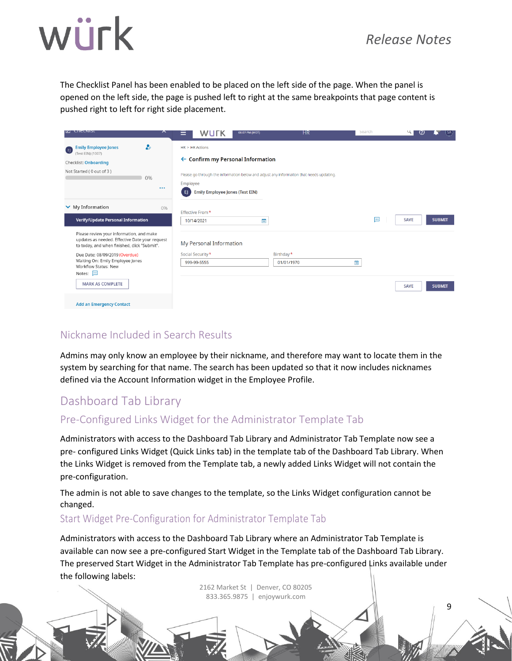9

The Checklist Panel has been enabled to be placed on the left side of the page. When the panel is opened on the left side, the page is pushed left to right at the same breakpoints that page content is pushed right to left for right side placement.

| <b>M</b> CHECKIDE                                                                                                                                                                                                                                                                    | ᄉ                           | WUTK<br>=                                                                      | 06:07 PM (MDT)                                                                                                                          | НR                      | Search | $\mathbf u$<br>(?)<br>l SA   |
|--------------------------------------------------------------------------------------------------------------------------------------------------------------------------------------------------------------------------------------------------------------------------------------|-----------------------------|--------------------------------------------------------------------------------|-----------------------------------------------------------------------------------------------------------------------------------------|-------------------------|--------|------------------------------|
| <b>Emily Employee Jones</b><br>E<br>(Test EIN) (1007)<br>Checklist: Onboarding<br>Not Started (0 out of 3)                                                                                                                                                                           | $\bullet$<br>0%<br>$\cdots$ | $HR > HR$ Actions<br>Employee<br><b>Emily Employee Jones (Test EIN)</b><br>EJ. | $\leftarrow$ Confirm my Personal Information<br>Please go through the information below and adjust any informalton that needs updating. |                         |        |                              |
| $\vee$ My Information<br><b>Verify/Update Personal Information</b>                                                                                                                                                                                                                   | 0%                          | Effective From *<br>10/14/2021                                                 | 曲                                                                                                                                       |                         | $\Box$ | <b>SAVE</b><br><b>SUBMIT</b> |
| Please review your information, and make<br>updates as needed. Effective Date your request<br>to today, and when finished, click "Submit".<br>Due Date: 08/09/2019 (Overdue)<br>Waiting On: Emily Employee Jones<br>Workflow Status: New<br>Notes: $\Box$<br><b>MARK AS COMPLETE</b> |                             | My Personal Information<br>Social Security *<br>999-99-5555                    |                                                                                                                                         | Birthday*<br>01/01/1970 | m      | <b>SAVE</b><br><b>SUBMIT</b> |
| <b>Add an Emergency Contact</b>                                                                                                                                                                                                                                                      |                             |                                                                                |                                                                                                                                         |                         |        |                              |

### Nickname Included in Search Results

Admins may only know an employee by their nickname, and therefore may want to locate them in the system by searching for that name. The search has been updated so that it now includes nicknames defined via the Account Information widget in the Employee Profile.

## Dashboard Tab Library

### Pre-Configured Links Widget for the Administrator Template Tab

Administrators with access to the Dashboard Tab Library and Administrator Tab Template now see a pre- configured Links Widget (Quick Links tab) in the template tab of the Dashboard Tab Library. When the Links Widget is removed from the Template tab, a newly added Links Widget will not contain the pre-configuration.

The admin is not able to save changes to the template, so the Links Widget configuration cannot be changed.

#### Start Widget Pre-Configuration for Administrator Template Tab

Administrators with access to the Dashboard Tab Library where an Administrator Tab Template is available can now see a pre-configured Start Widget in the Template tab of the Dashboard Tab Library. The preserved Start Widget in the Administrator Tab Template has pre-configured Links available under the following labels: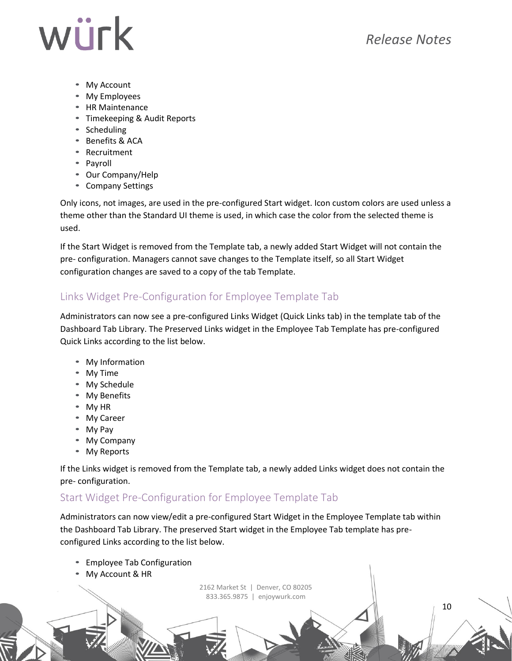10

- My Account
- My Employees
- HR Maintenance
- Timekeeping & Audit Reports
- Scheduling
- Benefits & ACA
- Recruitment
- Payroll
- Our Company/Help
- Company Settings

Only icons, not images, are used in the pre-configured Start widget. Icon custom colors are used unless a theme other than the Standard UI theme is used, in which case the color from the selected theme is used.

If the Start Widget is removed from the Template tab, a newly added Start Widget will not contain the pre- configuration. Managers cannot save changes to the Template itself, so all Start Widget configuration changes are saved to a copy of the tab Template.

### Links Widget Pre-Configuration for Employee Template Tab

Administrators can now see a pre-configured Links Widget (Quick Links tab) in the template tab of the Dashboard Tab Library. The Preserved Links widget in the Employee Tab Template has pre-configured Quick Links according to the list below.

- My Information
- My Time
- My Schedule
- My Benefits
- My HR
- My Career
- My Pay
- My Company
- My Reports

If the Links widget is removed from the Template tab, a newly added Links widget does not contain the pre- configuration.

#### Start Widget Pre-Configuration for Employee Template Tab

Administrators can now view/edit a pre-configured Start Widget in the Employee Template tab within the Dashboard Tab Library. The preserved Start widget in the Employee Tab template has preconfigured Links according to the list below.

- Employee Tab Configuration
- My Account & HR